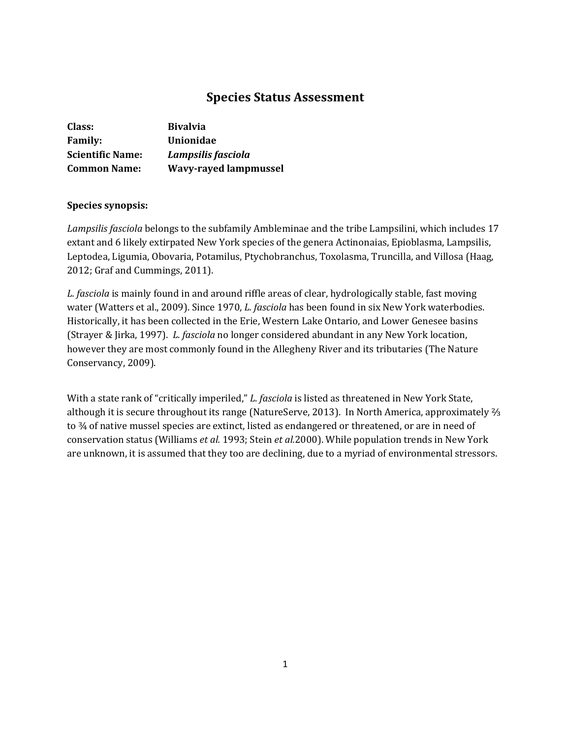# **Species Status Assessment**

| Class:                  | <b>Bivalvia</b>              |
|-------------------------|------------------------------|
| <b>Family:</b>          | Unionidae                    |
| <b>Scientific Name:</b> | Lampsilis fasciola           |
| <b>Common Name:</b>     | <b>Wavy-rayed lampmussel</b> |

## **Species synopsis:**

*Lampsilis fasciola* belongs to the subfamily Ambleminae and the tribe Lampsilini, which includes 17 extant and 6 likely extirpated New York species of the genera Actinonaias, Epioblasma, Lampsilis, Leptodea, Ligumia, Obovaria, Potamilus, Ptychobranchus, Toxolasma, Truncilla, and Villosa (Haag, 2012; Graf and Cummings, 2011).

*L. fasciola* is mainly found in and around riffle areas of clear, hydrologically stable, fast moving water (Watters et al., 2009). Since 1970, *L. fasciola* has been found in six New York waterbodies. Historically, it has been collected in the Erie, Western Lake Ontario, and Lower Genesee basins (Strayer & Jirka, 1997). *L. fasciola* no longer considered abundant in any New York location, however they are most commonly found in the Allegheny River and its tributaries (The Nature Conservancy, 2009).

With a state rank of "critically imperiled," *L. fasciola* is listed as threatened in New York State, although it is secure throughout its range (NatureServe, 2013). In North America, approximately ⅔ to ¾ of native mussel species are extinct, listed as endangered or threatened, or are in need of conservation status (Williams *et al.* 1993; Stein *et al.*2000). While population trends in New York are unknown, it is assumed that they too are declining, due to a myriad of environmental stressors.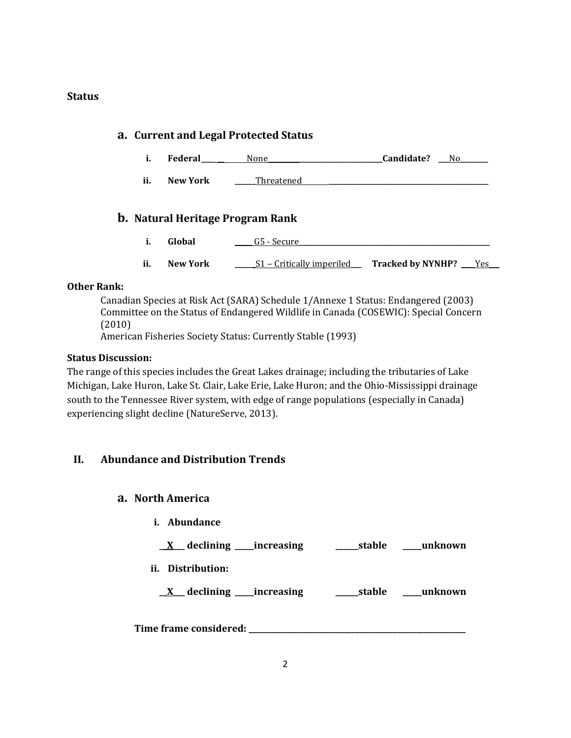## **Status**

# **a. Current and Legal Protected Status i. Federal\_\_\_\_ \_\_** None**\_\_\_\_\_\_\_\_\_\_\_\_\_\_\_\_\_\_\_\_\_\_\_\_\_\_\_\_\_\_\_\_\_Candidate? \_\_\_**No**\_\_\_\_\_\_\_\_ ii. New York \_\_\_\_\_\_**Threatened **\_\_\_\_\_\_\_\_\_\_\_\_\_\_\_\_\_\_\_\_\_\_\_\_\_\_\_\_\_\_\_\_\_\_\_\_\_\_\_\_\_\_\_\_\_\_ b. Natural Heritage Program Rank i. Global 2020 G5** - Secure **ii. New York** \_\_\_\_\_\_S1 – Critically imperiled Tracked by NYNHP? \_\_\_\_Yes\_\_\_\_

## **Other Rank:**

Canadian Species at Risk Act (SARA) Schedule 1/Annexe 1 Status: Endangered (2003) Committee on the Status of Endangered Wildlife in Canada (COSEWIC): Special Concern (2010)

American Fisheries Society Status: Currently Stable (1993)

## **Status Discussion:**

The range of this species includes the Great Lakes drainage; including the tributaries of Lake Michigan, Lake Huron, Lake St. Clair, Lake Erie, Lake Huron; and the Ohio-Mississippi drainage south to the Tennessee River system, with edge of range populations (especially in Canada) experiencing slight decline (NatureServe, 2013).

# **II. Abundance and Distribution Trends**

# **a. North America**

**i. Abundance**

**\_\_X\_\_\_ declining \_\_\_\_\_increasing \_\_\_\_\_\_stable \_\_\_\_\_unknown**

**ii. Distribution:**

**\_\_X\_\_\_ declining \_\_\_\_\_increasing \_\_\_\_\_\_stable \_\_\_\_\_unknown**

**Time frame considered: \_\_\_\_\_\_\_\_\_\_\_\_\_\_\_\_\_\_\_\_\_\_\_\_\_\_\_\_\_\_\_\_\_\_\_\_\_\_\_\_\_\_\_\_\_\_\_\_\_\_\_\_\_\_\_\_\_**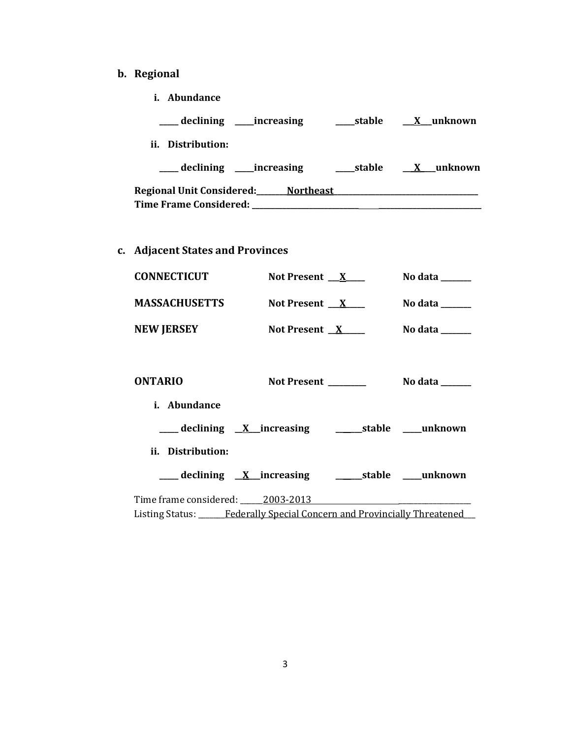- **b. Regional** 
	- **i. Abundance**

| __ declining ____increasing               | __stable | X unknown  |
|-------------------------------------------|----------|------------|
| ii. Distribution:                         |          |            |
| declining _____increasing                 | __stable | X _unknown |
| Regional Unit Considered:___<br>Northeast |          |            |
| <b>Time Frame Considered:</b>             |          |            |

**c. Adjacent States and Provinces**

| <b>CONNECTICUT</b>   | Not Present $X$    | No data $\_\_$ |
|----------------------|--------------------|----------------|
| <b>MASSACHUSETTS</b> | Not Present $X$    | No data $\_\_$ |
| <b>NEW JERSEY</b>    | Not Present $X$    | No data        |
| <b>ONTARIO</b>       | <b>Not Present</b> | No data        |

| <i>i.</i> Abundance                              |                     |
|--------------------------------------------------|---------------------|
| ___ declining <u>X</u> increasing                | stable unknown      |
| ii. Distribution:                                |                     |
| $\frac{1}{2}$ declining $\frac{X}{X}$ increasing | stable _____unknown |
| Time frame considered: 2003-2013                 |                     |

Listing Status: \_\_\_\_\_\_Federally Special Concern and Provincially Threatened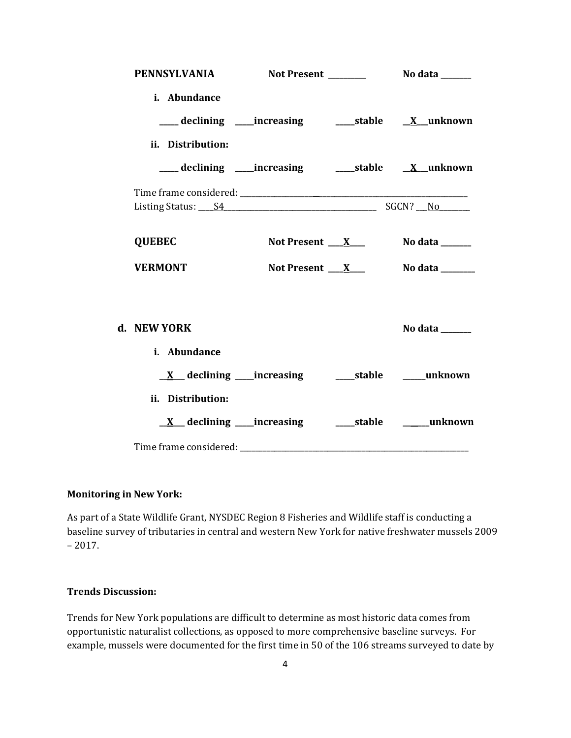|                   | PENNSYLVANIA Not Present No data _____                |                  |
|-------------------|-------------------------------------------------------|------------------|
| i. Abundance      | ___declining ___increasing _____stable ____X__unknown |                  |
| ii. Distribution: | ___declining ___increasing _____stable ____X__unknown |                  |
|                   |                                                       |                  |
| <b>QUEBEC</b>     | Not Present $X_{-}$                                   | No data ______   |
| <b>VERMONT</b>    | Not Present $X_{-}$                                   | No data ________ |
| d. NEW YORK       |                                                       | No data ______   |
| i. Abundance      |                                                       |                  |
| ii. Distribution: |                                                       |                  |
|                   |                                                       |                  |

## **Monitoring in New York:**

As part of a State Wildlife Grant, NYSDEC Region 8 Fisheries and Wildlife staff is conducting a baseline survey of tributaries in central and western New York for native freshwater mussels 2009  $-2017.$ 

# **Trends Discussion:**

Trends for New York populations are difficult to determine as most historic data comes from opportunistic naturalist collections, as opposed to more comprehensive baseline surveys. For example, mussels were documented for the first time in 50 of the 106 streams surveyed to date by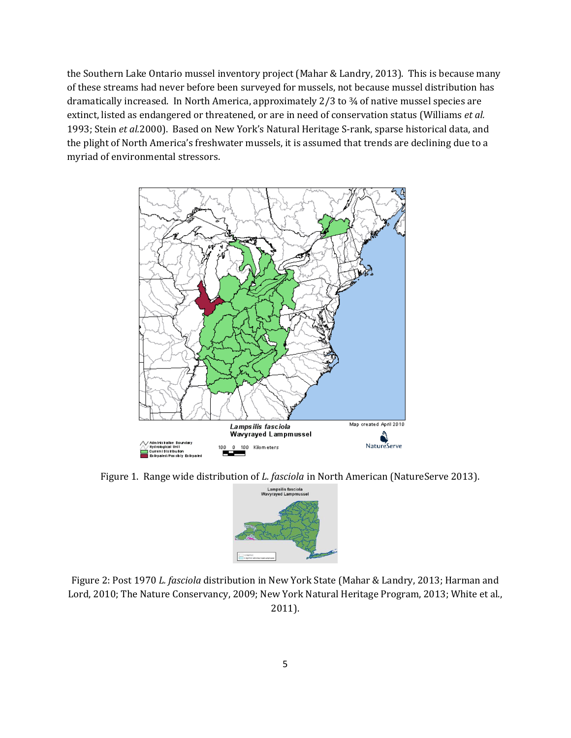the Southern Lake Ontario mussel inventory project (Mahar & Landry, 2013). This is because many of these streams had never before been surveyed for mussels, not because mussel distribution has dramatically increased. In North America, approximately 2/3 to ¾ of native mussel species are extinct, listed as endangered or threatened, or are in need of conservation status (Williams *et al.*  1993; Stein *et al.*2000). Based on New York's Natural Heritage S-rank, sparse historical data, and the plight of North America's freshwater mussels, it is assumed that trends are declining due to a myriad of environmental stressors.



Figure 1. Range wide distribution of *L. fasciola* in North American (NatureServe 2013).



Figure 2: Post 1970 *L. fasciola* distribution in New York State (Mahar & Landry, 2013; Harman and Lord, 2010; The Nature Conservancy, 2009; New York Natural Heritage Program, 2013; White et al., 2011).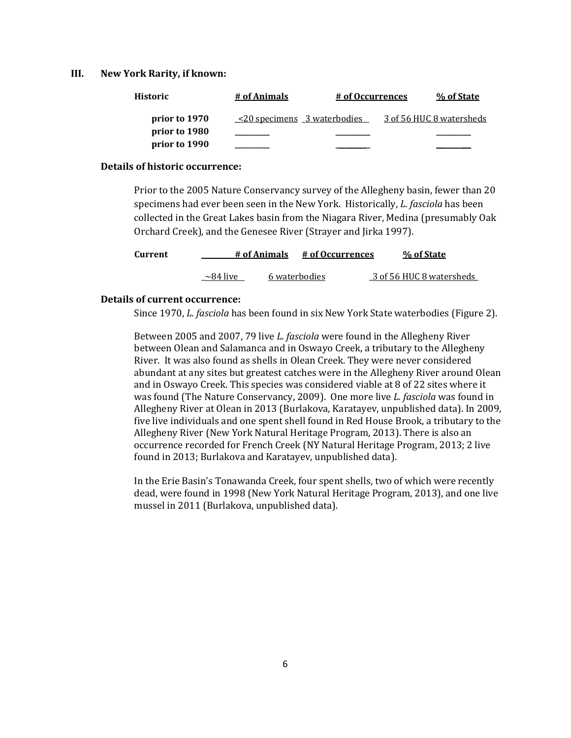#### **III. New York Rarity, if known:**

| Historic      | # of Animals                      | # of Occurrences | % of State               |
|---------------|-----------------------------------|------------------|--------------------------|
| prior to 1970 | $\leq$ 20 specimens 3 waterbodies |                  | 3 of 56 HUC 8 watersheds |
| prior to 1980 |                                   |                  |                          |
| prior to 1990 |                                   |                  |                          |

#### **Details of historic occurrence:**

Prior to the 2005 Nature Conservancy survey of the Allegheny basin, fewer than 20 specimens had ever been seen in the New York. Historically, *L. fasciola* has been collected in the Great Lakes basin from the Niagara River, Medina (presumably Oak Orchard Creek), and the Genesee River (Strayer and Jirka 1997).

| Current |                | # of Animals | # of Occurrences | % of State               |
|---------|----------------|--------------|------------------|--------------------------|
|         | $\sim$ 84 live |              | 6 waterbodies    | 3 of 56 HUC 8 watersheds |

#### **Details of current occurrence:**

Since 1970, *L. fasciola* has been found in six New York State waterbodies (Figure 2).

Between 2005 and 2007, 79 live *L. fasciola* were found in the Allegheny River between Olean and Salamanca and in Oswayo Creek, a tributary to the Allegheny River. It was also found as shells in Olean Creek. They were never considered abundant at any sites but greatest catches were in the Allegheny River around Olean and in Oswayo Creek. This species was considered viable at 8 of 22 sites where it was found (The Nature Conservancy, 2009). One more live *L. fasciola* was found in Allegheny River at Olean in 2013 (Burlakova, Karatayev, unpublished data). In 2009, five live individuals and one spent shell found in Red House Brook, a tributary to the Allegheny River (New York Natural Heritage Program, 2013). There is also an occurrence recorded for French Creek (NY Natural Heritage Program, 2013; 2 live found in 2013; Burlakova and Karatayev, unpublished data).

In the Erie Basin's Tonawanda Creek, four spent shells, two of which were recently dead, were found in 1998 (New York Natural Heritage Program, 2013), and one live mussel in 2011 (Burlakova, unpublished data).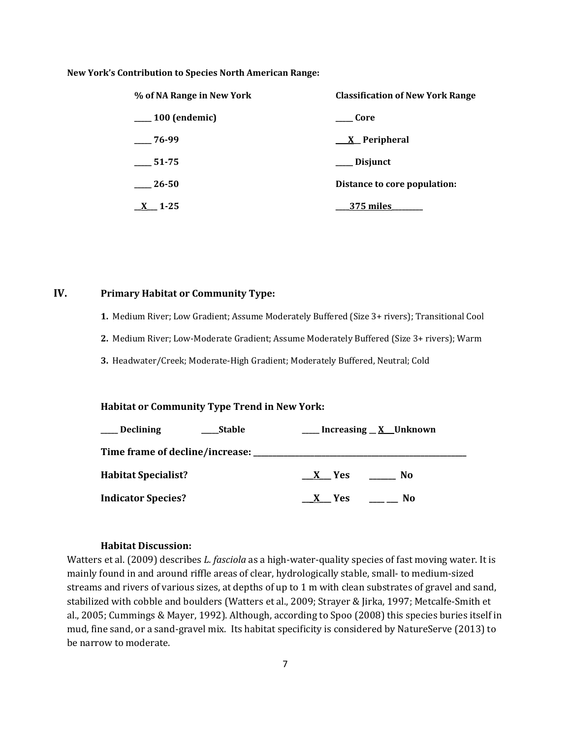#### **New York's Contribution to Species North American Range:**

| % of NA Range in New York | <b>Classification of New York Range</b> |  |  |
|---------------------------|-----------------------------------------|--|--|
| $\frac{100}{2}$ (endemic) | Core                                    |  |  |
| 76-99                     | <u>X</u> Peripheral                     |  |  |
| 51-75                     | <b>Disjunct</b>                         |  |  |
| 26-50                     | Distance to core population:            |  |  |
| 1-25                      | 375 miles                               |  |  |

## **IV. Primary Habitat or Community Type:**

- **1.** Medium River; Low Gradient; Assume Moderately Buffered (Size 3+ rivers); Transitional Cool
- **2.** Medium River; Low-Moderate Gradient; Assume Moderately Buffered (Size 3+ rivers); Warm
- **3.** Headwater/Creek; Moderate-High Gradient; Moderately Buffered, Neutral; Cold

## **Habitat or Community Type Trend in New York:**

| $\rule{1em}{0.15mm}$ Declining | Stable |       | __ Increasing <u>_ X</u> _Unknown |
|--------------------------------|--------|-------|-----------------------------------|
|                                |        |       |                                   |
| <b>Habitat Specialist?</b>     |        | X Yes | No                                |
| <b>Indicator Species?</b>      |        | X Yes | No                                |

## **Habitat Discussion:**

Watters et al. (2009) describes *L. fasciola* as a high-water-quality species of fast moving water. It is mainly found in and around riffle areas of clear, hydrologically stable, small- to medium-sized streams and rivers of various sizes, at depths of up to 1 m with clean substrates of gravel and sand, stabilized with cobble and boulders (Watters et al., 2009; Strayer & Jirka, 1997; Metcalfe-Smith et al., 2005; Cummings & Mayer, 1992). Although, according to Spoo (2008) this species buries itself in mud, fine sand, or a sand-gravel mix. Its habitat specificity is considered by NatureServe (2013) to be narrow to moderate.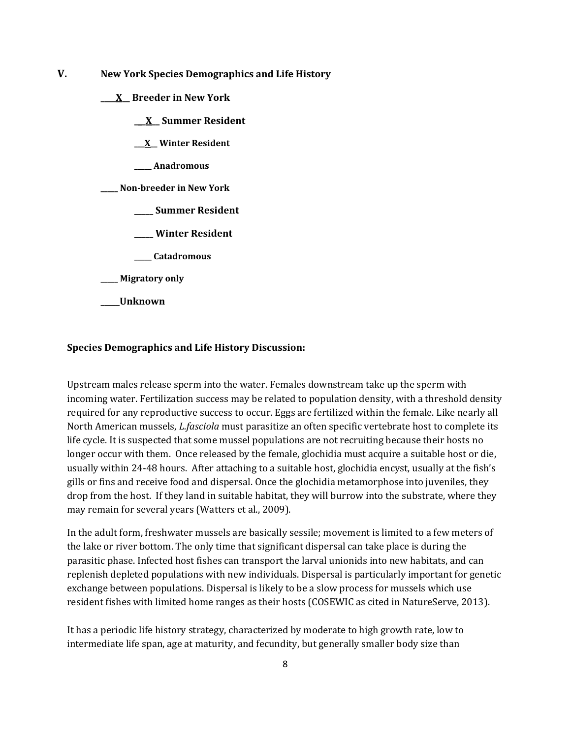- **V. New York Species Demographics and Life History**
	- **\_\_\_\_X\_\_ Breeder in New York**
		- **\_\_\_X\_\_ Summer Resident**
		- **\_\_\_X\_\_ Winter Resident**
		- **\_\_\_\_\_ Anadromous**
	- **\_\_\_\_\_ Non-breeder in New York**
		- **\_\_\_\_\_ Summer Resident**
		- **\_\_\_\_\_ Winter Resident**
		- **\_\_\_\_\_ Catadromous**
	- **\_\_\_\_\_ Migratory only**
	- **\_\_\_\_\_Unknown**

#### **Species Demographics and Life History Discussion:**

Upstream males release sperm into the water. Females downstream take up the sperm with incoming water. Fertilization success may be related to population density, with a threshold density required for any reproductive success to occur. Eggs are fertilized within the female. Like nearly all North American mussels, *L.fasciola* must parasitize an often specific vertebrate host to complete its life cycle. It is suspected that some mussel populations are not recruiting because their hosts no longer occur with them. Once released by the female, glochidia must acquire a suitable host or die, usually within 24-48 hours. After attaching to a suitable host, glochidia encyst, usually at the fish's gills or fins and receive food and dispersal. Once the glochidia metamorphose into juveniles, they drop from the host. If they land in suitable habitat, they will burrow into the substrate, where they may remain for several years (Watters et al., 2009).

In the adult form, freshwater mussels are basically sessile; movement is limited to a few meters of the lake or river bottom. The only time that significant dispersal can take place is during the parasitic phase. Infected host fishes can transport the larval unionids into new habitats, and can replenish depleted populations with new individuals. Dispersal is particularly important for genetic exchange between populations. Dispersal is likely to be a slow process for mussels which use resident fishes with limited home ranges as their hosts (COSEWIC as cited in NatureServe, 2013).

It has a periodic life history strategy, characterized by moderate to high growth rate, low to intermediate life span, age at maturity, and fecundity, but generally smaller body size than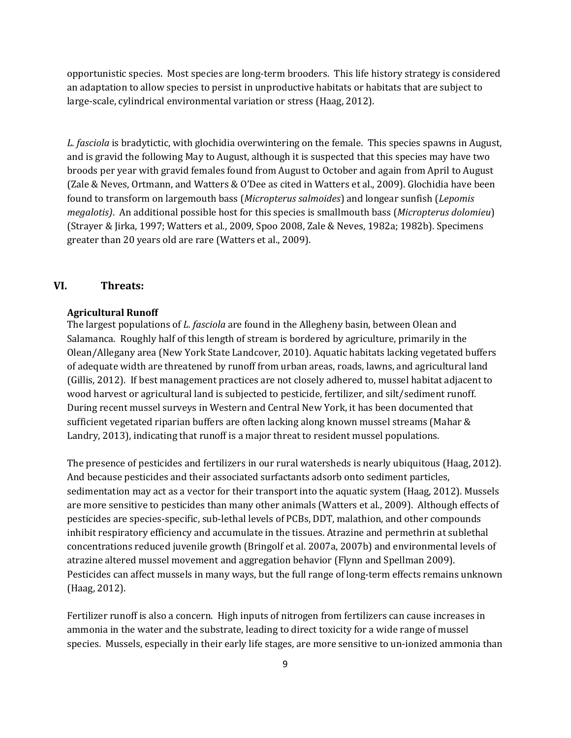opportunistic species. Most species are long-term brooders. This life history strategy is considered an adaptation to allow species to persist in unproductive habitats or habitats that are subject to large-scale, cylindrical environmental variation or stress (Haag, 2012).

*L. fasciola* is bradytictic, with glochidia overwintering on the female. This species spawns in August, and is gravid the following May to August, although it is suspected that this species may have two broods per year with gravid females found from August to October and again from April to August (Zale & Neves, Ortmann, and Watters & O'Dee as cited in Watters et al., 2009). Glochidia have been found to transform on largemouth bass (*Micropterus salmoides*) and longear sunfish (*Lepomis megalotis)*. An additional possible host for this species is smallmouth bass (*Micropterus dolomieu*) (Strayer & Jirka, 1997; Watters et al., 2009, Spoo 2008, Zale & Neves, 1982a; 1982b). Specimens greater than 20 years old are rare (Watters et al., 2009).

## **VI. Threats:**

## **Agricultural Runoff**

The largest populations of *L. fasciola* are found in the Allegheny basin, between Olean and Salamanca. Roughly half of this length of stream is bordered by agriculture, primarily in the Olean/Allegany area (New York State Landcover, 2010). Aquatic habitats lacking vegetated buffers of adequate width are threatened by runoff from urban areas, roads, lawns, and agricultural land (Gillis, 2012). If best management practices are not closely adhered to, mussel habitat adjacent to wood harvest or agricultural land is subjected to pesticide, fertilizer, and silt/sediment runoff. During recent mussel surveys in Western and Central New York, it has been documented that sufficient vegetated riparian buffers are often lacking along known mussel streams (Mahar & Landry, 2013), indicating that runoff is a major threat to resident mussel populations.

The presence of pesticides and fertilizers in our rural watersheds is nearly ubiquitous (Haag, 2012). And because pesticides and their associated surfactants adsorb onto sediment particles, sedimentation may act as a vector for their transport into the aquatic system (Haag, 2012). Mussels are more sensitive to pesticides than many other animals (Watters et al., 2009). Although effects of pesticides are species-specific, sub-lethal levels of PCBs, DDT, malathion, and other compounds inhibit respiratory efficiency and accumulate in the tissues. Atrazine and permethrin at sublethal concentrations reduced juvenile growth (Bringolf et al. 2007a, 2007b) and environmental levels of atrazine altered mussel movement and aggregation behavior (Flynn and Spellman 2009). Pesticides can affect mussels in many ways, but the full range of long-term effects remains unknown (Haag, 2012).

Fertilizer runoff is also a concern. High inputs of nitrogen from fertilizers can cause increases in ammonia in the water and the substrate, leading to direct toxicity for a wide range of mussel species. Mussels, especially in their early life stages, are more sensitive to un-ionized ammonia than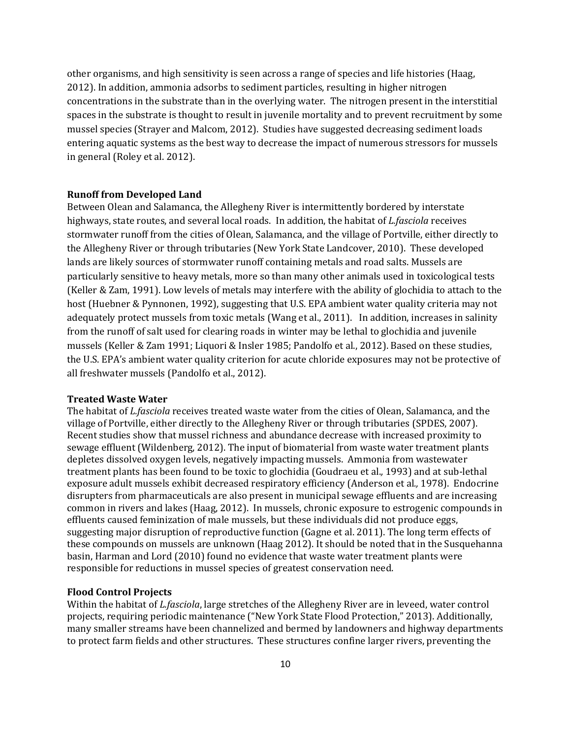other organisms, and high sensitivity is seen across a range of species and life histories (Haag, 2012). In addition, ammonia adsorbs to sediment particles, resulting in higher nitrogen concentrations in the substrate than in the overlying water. The nitrogen present in the interstitial spaces in the substrate is thought to result in juvenile mortality and to prevent recruitment by some mussel species (Strayer and Malcom, 2012). Studies have suggested decreasing sediment loads entering aquatic systems as the best way to decrease the impact of numerous stressors for mussels in general (Roley et al. 2012).

## **Runoff from Developed Land**

Between Olean and Salamanca, the Allegheny River is intermittently bordered by interstate highways, state routes, and several local roads. In addition, the habitat of *L.fasciola* receives stormwater runoff from the cities of Olean, Salamanca, and the village of Portville, either directly to the Allegheny River or through tributaries (New York State Landcover, 2010). These developed lands are likely sources of stormwater runoff containing metals and road salts. Mussels are particularly sensitive to heavy metals, more so than many other animals used in toxicological tests (Keller & Zam, 1991). Low levels of metals may interfere with the ability of glochidia to attach to the host (Huebner & Pynnonen, 1992), suggesting that U.S. EPA ambient water quality criteria may not adequately protect mussels from toxic metals (Wang et al., 2011). In addition, increases in salinity from the runoff of salt used for clearing roads in winter may be lethal to glochidia and juvenile mussels (Keller & Zam 1991; Liquori & Insler 1985; Pandolfo et al., 2012). Based on these studies, the U.S. EPA's ambient water quality criterion for acute chloride exposures may not be protective of all freshwater mussels (Pandolfo et al., 2012).

## **Treated Waste Water**

The habitat of *L.fasciola* receives treated waste water from the cities of Olean, Salamanca, and the village of Portville, either directly to the Allegheny River or through tributaries (SPDES, 2007). Recent studies show that mussel richness and abundance decrease with increased proximity to sewage effluent (Wildenberg, 2012). The input of biomaterial from waste water treatment plants depletes dissolved oxygen levels, negatively impacting mussels. Ammonia from wastewater treatment plants has been found to be toxic to glochidia (Goudraeu et al.*,* 1993) and at sub-lethal exposure adult mussels exhibit decreased respiratory efficiency (Anderson et al*.,* 1978). Endocrine disrupters from pharmaceuticals are also present in municipal sewage effluents and are increasing common in rivers and lakes (Haag, 2012). In mussels, chronic exposure to estrogenic compounds in effluents caused feminization of male mussels, but these individuals did not produce eggs, suggesting major disruption of reproductive function (Gagne et al. 2011). The long term effects of these compounds on mussels are unknown (Haag 2012). It should be noted that in the Susquehanna basin, Harman and Lord (2010) found no evidence that waste water treatment plants were responsible for reductions in mussel species of greatest conservation need.

#### **Flood Control Projects**

Within the habitat of *L.fasciola*, large stretches of the Allegheny River are in leveed, water control projects, requiring periodic maintenance ("New York State Flood Protection," 2013). Additionally, many smaller streams have been channelized and bermed by landowners and highway departments to protect farm fields and other structures. These structures confine larger rivers, preventing the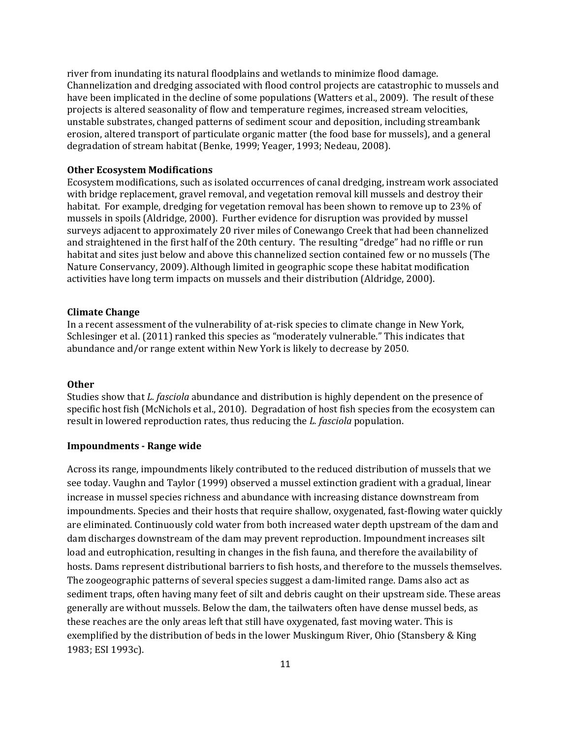river from inundating its natural floodplains and wetlands to minimize flood damage. Channelization and dredging associated with flood control projects are catastrophic to mussels and have been implicated in the decline of some populations (Watters et al., 2009). The result of these projects is altered seasonality of flow and temperature regimes, increased stream velocities, unstable substrates, changed patterns of sediment scour and deposition, including streambank erosion, altered transport of particulate organic matter (the food base for mussels), and a general degradation of stream habitat (Benke, 1999; Yeager, 1993; Nedeau, 2008).

#### **Other Ecosystem Modifications**

Ecosystem modifications, such as isolated occurrences of canal dredging, instream work associated with bridge replacement, gravel removal, and vegetation removal kill mussels and destroy their habitat. For example, dredging for vegetation removal has been shown to remove up to 23% of mussels in spoils (Aldridge, 2000). Further evidence for disruption was provided by mussel surveys adjacent to approximately 20 river miles of Conewango Creek that had been channelized and straightened in the first half of the 20th century. The resulting "dredge" had no riffle or run habitat and sites just below and above this channelized section contained few or no mussels (The Nature Conservancy, 2009). Although limited in geographic scope these habitat modification activities have long term impacts on mussels and their distribution (Aldridge, 2000).

#### **Climate Change**

In a recent assessment of the vulnerability of at-risk species to climate change in New York, Schlesinger et al. (2011) ranked this species as "moderately vulnerable." This indicates that abundance and/or range extent within New York is likely to decrease by 2050.

## **Other**

Studies show that *L. fasciola* abundance and distribution is highly dependent on the presence of specific host fish (McNichols et al., 2010). Degradation of host fish species from the ecosystem can result in lowered reproduction rates, thus reducing the *L. fasciola* population.

## **Impoundments - Range wide**

Across its range, impoundments likely contributed to the reduced distribution of mussels that we see today. Vaughn and Taylor (1999) observed a mussel extinction gradient with a gradual, linear increase in mussel species richness and abundance with increasing distance downstream from impoundments. Species and their hosts that require shallow, oxygenated, fast-flowing water quickly are eliminated. Continuously cold water from both increased water depth upstream of the dam and dam discharges downstream of the dam may prevent reproduction. Impoundment increases silt load and eutrophication, resulting in changes in the fish fauna, and therefore the availability of hosts. Dams represent distributional barriers to fish hosts, and therefore to the mussels themselves. The zoogeographic patterns of several species suggest a dam-limited range. Dams also act as sediment traps, often having many feet of silt and debris caught on their upstream side. These areas generally are without mussels. Below the dam, the tailwaters often have dense mussel beds, as these reaches are the only areas left that still have oxygenated, fast moving water. This is exemplified by the distribution of beds in the lower Muskingum River, Ohio (Stansbery & King 1983; ESI 1993c).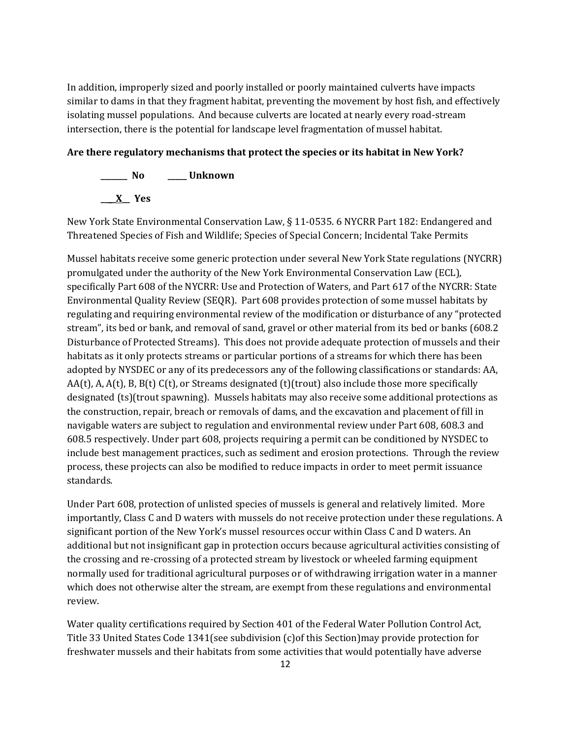In addition, improperly sized and poorly installed or poorly maintained culverts have impacts similar to dams in that they fragment habitat, preventing the movement by host fish, and effectively isolating mussel populations. And because culverts are located at nearly every road-stream intersection, there is the potential for landscape level fragmentation of mussel habitat.

## **Are there regulatory mechanisms that protect the species or its habitat in New York?**



New York State Environmental Conservation Law, § 11-0535. 6 NYCRR Part 182: Endangered and Threatened Species of Fish and Wildlife; Species of Special Concern; Incidental Take Permits

Mussel habitats receive some generic protection under several New York State regulations (NYCRR) promulgated under the authority of the New York Environmental Conservation Law (ECL), specifically Part 608 of the NYCRR: Use and Protection of Waters, and Part 617 of the NYCRR: State Environmental Quality Review (SEQR). Part 608 provides protection of some mussel habitats by regulating and requiring environmental review of the modification or disturbance of any "protected stream", its bed or bank, and removal of sand, gravel or other material from its bed or banks (608.2 Disturbance of Protected Streams). This does not provide adequate protection of mussels and their habitats as it only protects streams or particular portions of a streams for which there has been adopted by NYSDEC or any of its predecessors any of the following classifications or standards: AA,  $AA(t)$ , A,  $A(t)$ , B,  $B(t)$  C(t), or Streams designated (t)(trout) also include those more specifically designated (ts)(trout spawning). Mussels habitats may also receive some additional protections as the construction, repair, breach or removals of dams, and the excavation and placement of fill in navigable waters are subject to regulation and environmental review under Part 608, 608.3 and 608.5 respectively. Under part 608, projects requiring a permit can be conditioned by NYSDEC to include best management practices, such as sediment and erosion protections. Through the review process, these projects can also be modified to reduce impacts in order to meet permit issuance standards.

Under Part 608, protection of unlisted species of mussels is general and relatively limited. More importantly, Class C and D waters with mussels do not receive protection under these regulations. A significant portion of the New York's mussel resources occur within Class C and D waters. An additional but not insignificant gap in protection occurs because agricultural activities consisting of the crossing and re-crossing of a protected stream by livestock or wheeled farming equipment normally used for traditional agricultural purposes or of withdrawing irrigation water in a manner which does not otherwise alter the stream, are exempt from these regulations and environmental review.

Water quality certifications required by Section 401 of the Federal Water Pollution Control Act, Title 33 United States Code 1341(see subdivision (c)of this Section)may provide protection for freshwater mussels and their habitats from some activities that would potentially have adverse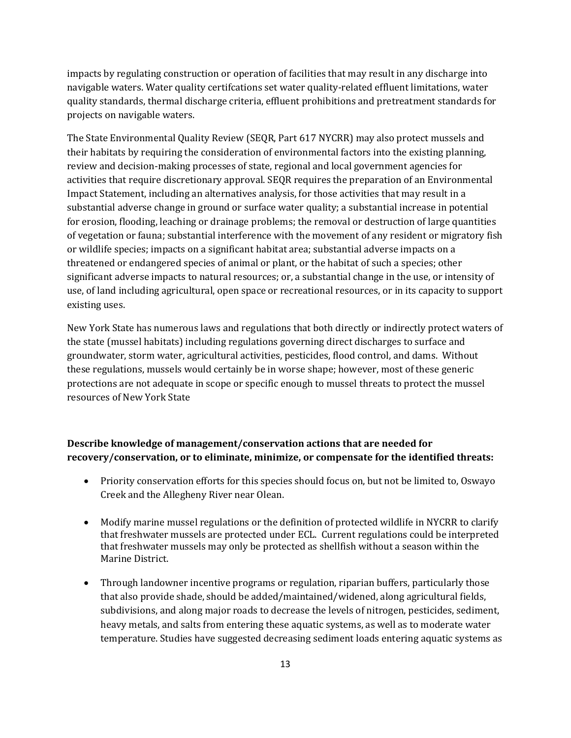impacts by regulating construction or operation of facilities that may result in any discharge into navigable waters. Water quality certifcations set water quality-related effluent limitations, water quality standards, thermal discharge criteria, effluent prohibitions and pretreatment standards for projects on navigable waters.

The State Environmental Quality Review (SEQR, Part 617 NYCRR) may also protect mussels and their habitats by requiring the consideration of environmental factors into the existing planning, review and decision-making processes of state, regional and local government agencies for activities that require discretionary approval. SEQR requires the preparation of an Environmental Impact Statement, including an alternatives analysis, for those activities that may result in a substantial adverse change in ground or surface water quality; a substantial increase in potential for erosion, flooding, leaching or drainage problems; the removal or destruction of large quantities of vegetation or fauna; substantial interference with the movement of any resident or migratory fish or wildlife species; impacts on a significant habitat area; substantial adverse impacts on a threatened or endangered species of animal or plant, or the habitat of such a species; other significant adverse impacts to natural resources; or, a substantial change in the use, or intensity of use, of land including agricultural, open space or recreational resources, or in its capacity to support existing uses.

New York State has numerous laws and regulations that both directly or indirectly protect waters of the state (mussel habitats) including regulations governing direct discharges to surface and groundwater, storm water, agricultural activities, pesticides, flood control, and dams. Without these regulations, mussels would certainly be in worse shape; however, most of these generic protections are not adequate in scope or specific enough to mussel threats to protect the mussel resources of New York State

## **Describe knowledge of management/conservation actions that are needed for recovery/conservation, or to eliminate, minimize, or compensate for the identified threats:**

- Priority conservation efforts for this species should focus on, but not be limited to, Oswayo Creek and the Allegheny River near Olean.
- Modify marine mussel regulations or the definition of protected wildlife in NYCRR to clarify that freshwater mussels are protected under ECL. Current regulations could be interpreted that freshwater mussels may only be protected as shellfish without a season within the Marine District.
- Through landowner incentive programs or regulation, riparian buffers, particularly those that also provide shade, should be added/maintained/widened, along agricultural fields, subdivisions, and along major roads to decrease the levels of nitrogen, pesticides, sediment, heavy metals, and salts from entering these aquatic systems, as well as to moderate water temperature. Studies have suggested decreasing sediment loads entering aquatic systems as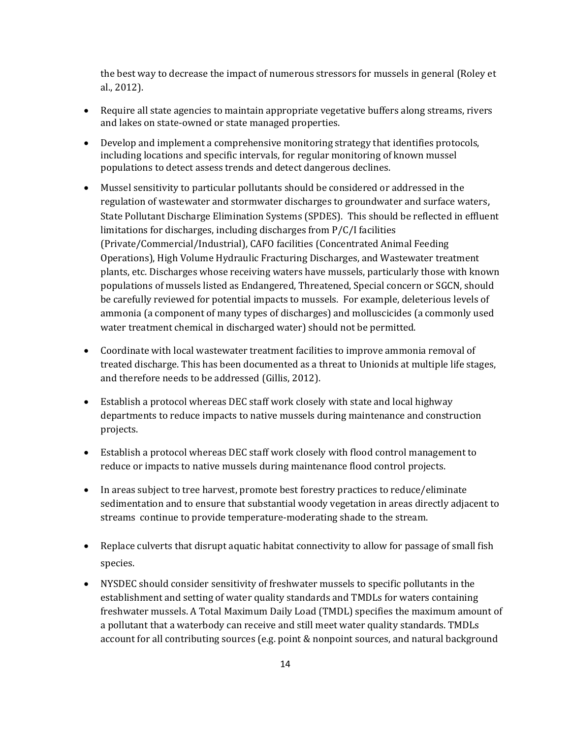the best way to decrease the impact of numerous stressors for mussels in general (Roley et al., 2012).

- Require all state agencies to maintain appropriate vegetative buffers along streams, rivers and lakes on state-owned or state managed properties.
- Develop and implement a comprehensive monitoring strategy that identifies protocols, including locations and specific intervals, for regular monitoring of known mussel populations to detect assess trends and detect dangerous declines.
- Mussel sensitivity to particular pollutants should be considered or addressed in the regulation of wastewater and stormwater discharges to groundwater and surface waters, State Pollutant Discharge Elimination Systems (SPDES). This should be reflected in effluent limitations for discharges, including discharges from P/C/I facilities (Private/Commercial/Industrial), CAFO facilities (Concentrated Animal Feeding Operations), High Volume Hydraulic Fracturing Discharges, and Wastewater treatment plants, etc. Discharges whose receiving waters have mussels, particularly those with known populations of mussels listed as Endangered, Threatened, Special concern or SGCN, should be carefully reviewed for potential impacts to mussels. For example, deleterious levels of ammonia (a component of many types of discharges) and molluscicides (a commonly used water treatment chemical in discharged water) should not be permitted.
- Coordinate with local wastewater treatment facilities to improve ammonia removal of treated discharge. This has been documented as a threat to Unionids at multiple life stages, and therefore needs to be addressed (Gillis, 2012).
- Establish a protocol whereas DEC staff work closely with state and local highway departments to reduce impacts to native mussels during maintenance and construction projects.
- Establish a protocol whereas DEC staff work closely with flood control management to reduce or impacts to native mussels during maintenance flood control projects.
- In areas subject to tree harvest, promote best forestry practices to reduce/eliminate sedimentation and to ensure that substantial woody vegetation in areas directly adjacent to streams continue to provide temperature-moderating shade to the stream.
- Replace culverts that disrupt aquatic habitat connectivity to allow for passage of small fish species.
- NYSDEC should consider sensitivity of freshwater mussels to specific pollutants in the establishment and setting of water quality standards and TMDLs for waters containing freshwater mussels. A Total Maximum Daily Load (TMDL) specifies the maximum amount of a pollutant that a waterbody can receive and still meet water quality standards. TMDLs account for all contributing sources (e.g. point & nonpoint sources, and natural background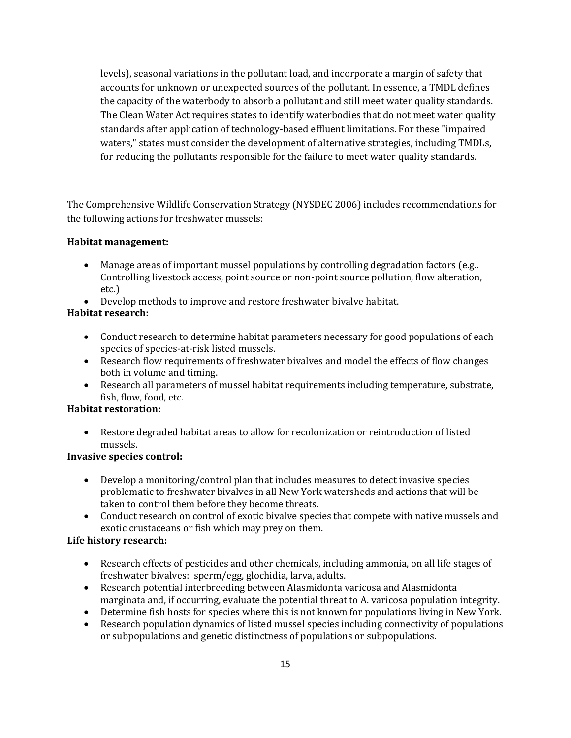levels), seasonal variations in the pollutant load, and incorporate a margin of safety that accounts for unknown or unexpected sources of the pollutant. In essence, a TMDL defines the capacity of the waterbody to absorb a pollutant and still meet water quality standards. The Clean Water Act requires states to identify waterbodies that do not meet water quality standards after application of technology-based effluent limitations. For these "impaired waters," states must consider the development of alternative strategies, including TMDLs, for reducing the pollutants responsible for the failure to meet water quality standards.

The Comprehensive Wildlife Conservation Strategy (NYSDEC 2006) includes recommendations for the following actions for freshwater mussels:

## **Habitat management:**

- Manage areas of important mussel populations by controlling degradation factors (e.g..) Controlling livestock access, point source or non-point source pollution, flow alteration, etc.)
- Develop methods to improve and restore freshwater bivalve habitat.

# **Habitat research:**

- Conduct research to determine habitat parameters necessary for good populations of each species of species-at-risk listed mussels.
- Research flow requirements of freshwater bivalves and model the effects of flow changes both in volume and timing.
- Research all parameters of mussel habitat requirements including temperature, substrate, fish, flow, food, etc.

# **Habitat restoration:**

• Restore degraded habitat areas to allow for recolonization or reintroduction of listed mussels.

# **Invasive species control:**

- Develop a monitoring/control plan that includes measures to detect invasive species problematic to freshwater bivalves in all New York watersheds and actions that will be taken to control them before they become threats.
- Conduct research on control of exotic bivalve species that compete with native mussels and exotic crustaceans or fish which may prey on them.

# **Life history research:**

- Research effects of pesticides and other chemicals, including ammonia, on all life stages of freshwater bivalves: sperm/egg, glochidia, larva, adults.
- Research potential interbreeding between Alasmidonta varicosa and Alasmidonta marginata and, if occurring, evaluate the potential threat to A. varicosa population integrity.
- Determine fish hosts for species where this is not known for populations living in New York.
- Research population dynamics of listed mussel species including connectivity of populations or subpopulations and genetic distinctness of populations or subpopulations.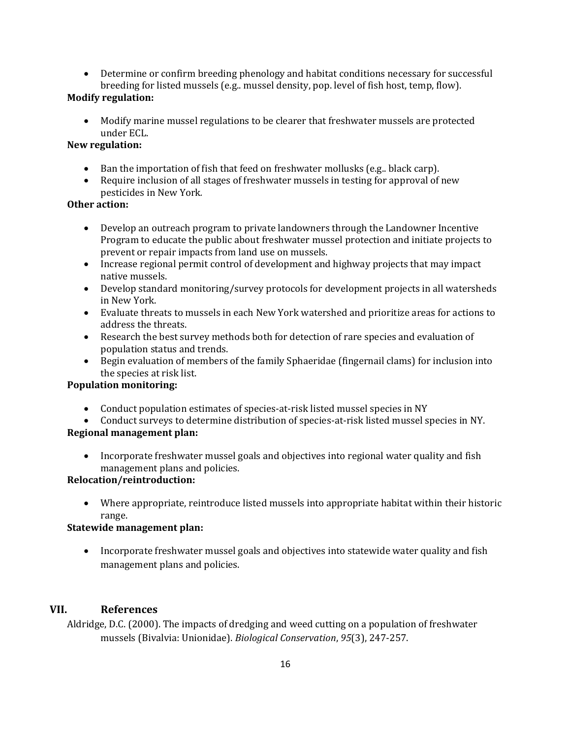• Determine or confirm breeding phenology and habitat conditions necessary for successful breeding for listed mussels (e.g.. mussel density, pop. level of fish host, temp, flow).

# **Modify regulation:**

• Modify marine mussel regulations to be clearer that freshwater mussels are protected under ECL.

# **New regulation:**

- Ban the importation of fish that feed on freshwater mollusks (e.g.. black carp).
- Require inclusion of all stages of freshwater mussels in testing for approval of new pesticides in New York*.*

## **Other action:**

- Develop an outreach program to private landowners through the Landowner Incentive Program to educate the public about freshwater mussel protection and initiate projects to prevent or repair impacts from land use on mussels.
- Increase regional permit control of development and highway projects that may impact native mussels.
- Develop standard monitoring/survey protocols for development projects in all watersheds in New York.
- Evaluate threats to mussels in each New York watershed and prioritize areas for actions to address the threats.
- Research the best survey methods both for detection of rare species and evaluation of population status and trends.
- Begin evaluation of members of the family Sphaeridae (fingernail clams) for inclusion into the species at risk list.

## **Population monitoring:**

- Conduct population estimates of species-at-risk listed mussel species in NY
- Conduct surveys to determine distribution of species-at-risk listed mussel species in NY.

# **Regional management plan:**

• Incorporate freshwater mussel goals and objectives into regional water quality and fish management plans and policies.

# **Relocation/reintroduction:**

• Where appropriate, reintroduce listed mussels into appropriate habitat within their historic range.

# **Statewide management plan:**

• Incorporate freshwater mussel goals and objectives into statewide water quality and fish management plans and policies.

# **VII. References**

Aldridge, D.C. (2000). The impacts of dredging and weed cutting on a population of freshwater mussels (Bivalvia: Unionidae). *Biological Conservation*, *95*(3), 247-257.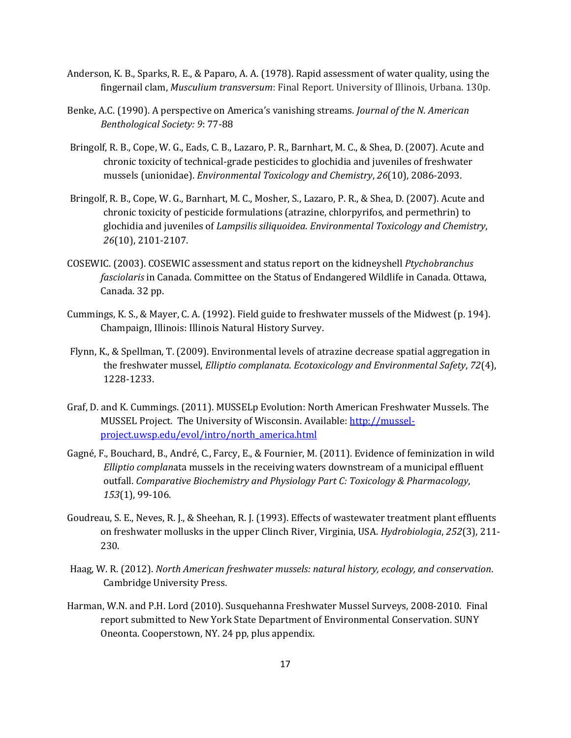- Anderson, K. B., Sparks, R. E., & Paparo, A. A. (1978). Rapid assessment of water quality, using the fingernail clam, *Musculium transversum*: Final Report. University of Illinois, Urbana. 130p.
- Benke, A.C. (1990). A perspective on America's vanishing streams. *Journal of the N. American Benthological Society: 9*: 77-88
- Bringolf, R. B., Cope, W. G., Eads, C. B., Lazaro, P. R., Barnhart, M. C., & Shea, D. (2007). Acute and chronic toxicity of technical‐grade pesticides to glochidia and juveniles of freshwater mussels (unionidae). *Environmental Toxicology and Chemistry*, *26*(10), 2086-2093.
- Bringolf, R. B., Cope, W. G., Barnhart, M. C., Mosher, S., Lazaro, P. R., & Shea, D. (2007). Acute and chronic toxicity of pesticide formulations (atrazine, chlorpyrifos, and permethrin) to glochidia and juveniles of *Lampsilis siliquoidea*. *Environmental Toxicology and Chemistry*, *26*(10), 2101-2107.
- COSEWIC. (2003). COSEWIC assessment and status report on the kidneyshell *Ptychobranchus fasciolaris* in Canada. Committee on the Status of Endangered Wildlife in Canada. Ottawa, Canada. 32 pp.
- Cummings, K. S., & Mayer, C. A. (1992). Field guide to freshwater mussels of the Midwest (p. 194). Champaign, Illinois: Illinois Natural History Survey.
- Flynn, K., & Spellman, T. (2009). Environmental levels of atrazine decrease spatial aggregation in the freshwater mussel, *Elliptio complanata*. *Ecotoxicology and Environmental Safety*, *72*(4), 1228-1233.
- Graf, D. and K. Cummings. (2011). MUSSELp Evolution: North American Freshwater Mussels. The MUSSEL Project. The University of Wisconsin. Available: [http://mussel](http://mussel-project.uwsp.edu/evol/intro/north_america.html)[project.uwsp.edu/evol/intro/north\\_america.html](http://mussel-project.uwsp.edu/evol/intro/north_america.html)
- Gagné, F., Bouchard, B., André, C., Farcy, E., & Fournier, M. (2011). Evidence of feminization in wild *Elliptio complan*ata mussels in the receiving waters downstream of a municipal effluent outfall. *Comparative Biochemistry and Physiology Part C: Toxicology & Pharmacology*, *153*(1), 99-106.
- Goudreau, S. E., Neves, R. J., & Sheehan, R. J. (1993). Effects of wastewater treatment plant effluents on freshwater mollusks in the upper Clinch River, Virginia, USA. *Hydrobiologia*, *252*(3), 211- 230.
- Haag, W. R. (2012). *North American freshwater mussels: natural history, ecology, and conservation*. Cambridge University Press.
- Harman, W.N. and P.H. Lord (2010). Susquehanna Freshwater Mussel Surveys, 2008-2010. Final report submitted to New York State Department of Environmental Conservation. SUNY Oneonta. Cooperstown, NY. 24 pp, plus appendix.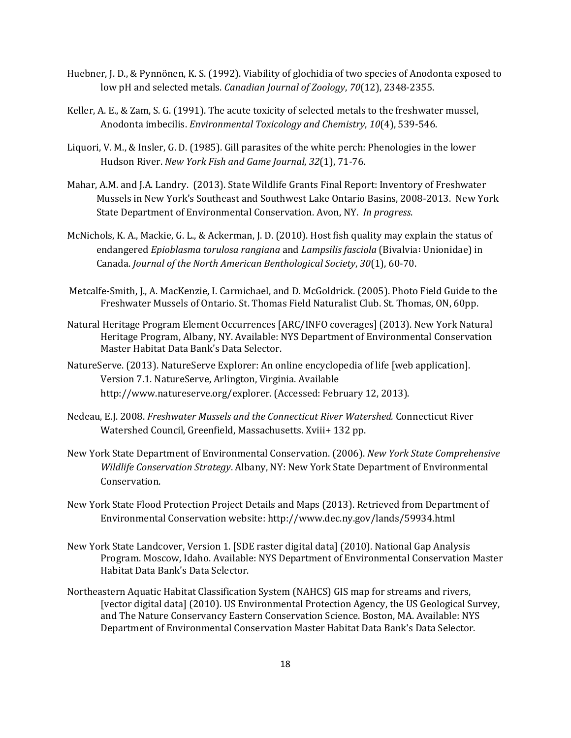- Huebner, J. D., & Pynnönen, K. S. (1992). Viability of glochidia of two species of Anodonta exposed to low pH and selected metals. *Canadian Journal of Zoology*, *70*(12), 2348-2355.
- Keller, A. E., & Zam, S. G. (1991). The acute toxicity of selected metals to the freshwater mussel, Anodonta imbecilis. *Environmental Toxicology and Chemistry*, *10*(4), 539-546.
- Liquori, V. M., & Insler, G. D. (1985). Gill parasites of the white perch: Phenologies in the lower Hudson River. *New York Fish and Game Journal*, *32*(1), 71-76.
- Mahar, A.M. and J.A. Landry. (2013). State Wildlife Grants Final Report: Inventory of Freshwater Mussels in New York's Southeast and Southwest Lake Ontario Basins, 2008-2013. New York State Department of Environmental Conservation. Avon, NY. *In progress*.
- McNichols, K. A., Mackie, G. L., & Ackerman, J. D. (2010). Host fish quality may explain the status of endangered *Epioblasma torulosa rangiana* and *Lampsilis fasciola* (Bivalvia∶ Unionidae) in Canada. *Journal of the North American Benthological Society*, *30*(1), 60-70.
- Metcalfe-Smith, J., A. MacKenzie, I. Carmichael, and D. McGoldrick. (2005). Photo Field Guide to the Freshwater Mussels of Ontario. St. Thomas Field Naturalist Club. St. Thomas, ON, 60pp.
- Natural Heritage Program Element Occurrences [ARC/INFO coverages] (2013). New York Natural Heritage Program, Albany, NY. Available: NYS Department of Environmental Conservation Master Habitat Data Bank's Data Selector.
- NatureServe. (2013). NatureServe Explorer: An online encyclopedia of life [web application]. Version 7.1. NatureServe, Arlington, Virginia. Available http://www.natureserve.org/explorer. (Accessed: February 12, 2013).
- Nedeau, E.J. 2008. *Freshwater Mussels and the Connecticut River Watershed.* Connecticut River Watershed Council, Greenfield, Massachusetts. Xviii+ 132 pp.
- New York State Department of Environmental Conservation. (2006). *New York State Comprehensive Wildlife Conservation Strategy*. Albany, NY: New York State Department of Environmental Conservation.
- New York State Flood Protection Project Details and Maps (2013). Retrieved from Department of Environmental Conservation website: http://www.dec.ny.gov/lands/59934.html
- New York State Landcover, Version 1. [SDE raster digital data] (2010). National Gap Analysis Program. Moscow, Idaho. Available: NYS Department of Environmental Conservation Master Habitat Data Bank's Data Selector.
- Northeastern Aquatic Habitat Classification System (NAHCS) GIS map for streams and rivers, [vector digital data] (2010). US Environmental Protection Agency, the US Geological Survey, and The Nature Conservancy Eastern Conservation Science. Boston, MA. Available: NYS Department of Environmental Conservation Master Habitat Data Bank's Data Selector.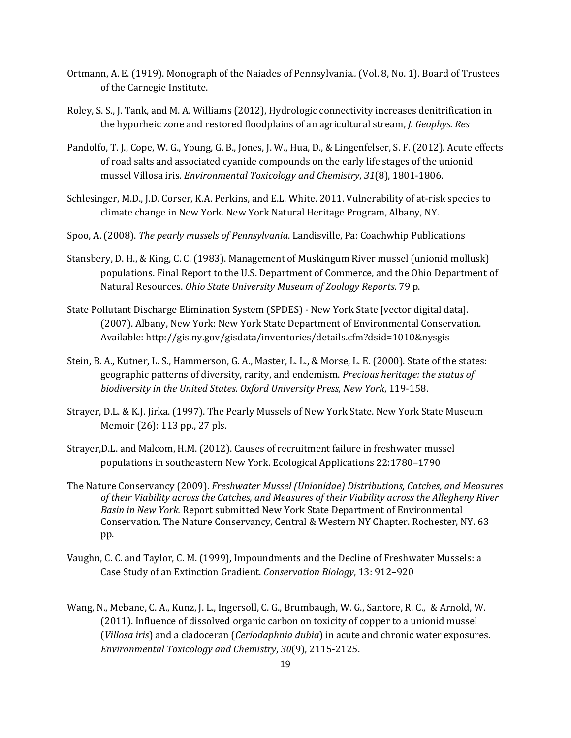- Ortmann, A. E. (1919). Monograph of the Naiades of Pennsylvania*..* (Vol. 8, No. 1). Board of Trustees of the Carnegie Institute.
- Roley, S. S., J. Tank, and M. A. Williams (2012), Hydrologic connectivity increases denitrification in the hyporheic zone and restored floodplains of an agricultural stream, *J. Geophys. Res*
- Pandolfo, T. J., Cope, W. G., Young, G. B., Jones, J. W., Hua, D., & Lingenfelser, S. F. (2012). Acute effects of road salts and associated cyanide compounds on the early life stages of the unionid mussel Villosa iris*. Environmental Toxicology and Chemistry*, *31*(8), 1801-1806.
- Schlesinger, M.D., J.D. Corser, K.A. Perkins, and E.L. White. 2011. Vulnerability of at-risk species to climate change in New York. New York Natural Heritage Program, Albany, NY.
- Spoo, A. (2008). *The pearly mussels of Pennsylvania*. Landisville, Pa: Coachwhip Publications
- Stansbery, D. H., & King, C. C. (1983). Management of Muskingum River mussel (unionid mollusk) populations. Final Report to the U.S. Department of Commerce, and the Ohio Department of Natural Resources. *Ohio State University Museum of Zoology Reports*. 79 p.
- State Pollutant Discharge Elimination System (SPDES) New York State [vector digital data]. (2007). Albany, New York: New York State Department of Environmental Conservation. Available: http://gis.ny.gov/gisdata/inventories/details.cfm?dsid=1010&nysgis
- Stein, B. A., Kutner, L. S., Hammerson, G. A., Master, L. L., & Morse, L. E. (2000). State of the states: geographic patterns of diversity, rarity, and endemism. *Precious heritage: the status of biodiversity in the United States. Oxford University Press, New York*, 119-158.
- Strayer, D.L. & K.J. Jirka. (1997). The Pearly Mussels of New York State. New York State Museum Memoir (26): 113 pp., 27 pls.
- Strayer,D.L. and Malcom, H.M. (2012). Causes of recruitment failure in freshwater mussel populations in southeastern New York. Ecological Applications 22:1780–1790
- The Nature Conservancy (2009). *Freshwater Mussel (Unionidae) Distributions, Catches, and Measures of their Viability across the Catches, and Measures of their Viability across the Allegheny River Basin in New York.* Report submitted New York State Department of Environmental Conservation. The Nature Conservancy, Central & Western NY Chapter. Rochester, NY. 63 pp.
- Vaughn, C. C. and Taylor, C. M. (1999), Impoundments and the Decline of Freshwater Mussels: a Case Study of an Extinction Gradient. *Conservation Biology*, 13: 912–920
- Wang, N., Mebane, C. A., Kunz, J. L., Ingersoll, C. G., Brumbaugh, W. G., Santore, R. C., & Arnold, W. (2011). Influence of dissolved organic carbon on toxicity of copper to a unionid mussel (*Villosa iris*) and a cladoceran (*Ceriodaphnia dubia*) in acute and chronic water exposures. *Environmental Toxicology and Chemistry*, *30*(9), 2115-2125.